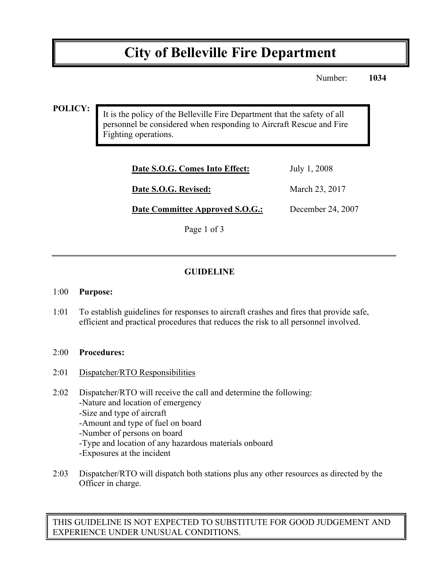# **City of Belleville Fire Department**

Number: **1034**

### **POLICY:**

It is the policy of the Belleville Fire Department that the safety of all personnel be considered when responding to Aircraft Rescue and Fire Fighting operations.

| July 1, 2008      |
|-------------------|
| March 23, 2017    |
| December 24, 2007 |
|                   |

Page 1 of 3

# **GUIDELINE**

#### 1:00 **Purpose:**

1:01 To establish guidelines for responses to aircraft crashes and fires that provide safe, efficient and practical procedures that reduces the risk to all personnel involved.

#### 2:00 **Procedures:**

- 2:01 Dispatcher/RTO Responsibilities
- 2:02 Dispatcher/RTO will receive the call and determine the following: -Nature and location of emergency -Size and type of aircraft -Amount and type of fuel on board -Number of persons on board
	- -Type and location of any hazardous materials onboard
	- -Exposures at the incident
- 2:03 Dispatcher/RTO will dispatch both stations plus any other resources as directed by the Officer in charge.

THIS GUIDELINE IS NOT EXPECTED TO SUBSTITUTE FOR GOOD JUDGEMENT AND EXPERIENCE UNDER UNUSUAL CONDITIONS.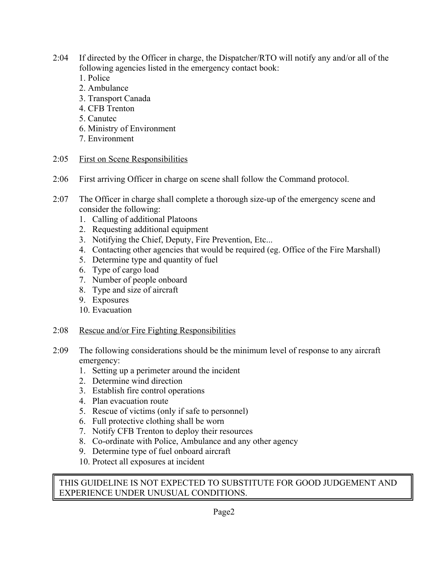- 2:04 If directed by the Officer in charge, the Dispatcher/RTO will notify any and/or all of the following agencies listed in the emergency contact book:
	- 1. Police
	- 2. Ambulance
	- 3. Transport Canada
	- 4. CFB Trenton
	- 5. Canutec
	- 6. Ministry of Environment
	- 7. Environment
- 2:05 First on Scene Responsibilities
- 2:06 First arriving Officer in charge on scene shall follow the Command protocol.
- 2:07 The Officer in charge shall complete a thorough size-up of the emergency scene and consider the following:
	- 1. Calling of additional Platoons
	- 2. Requesting additional equipment
	- 3. Notifying the Chief, Deputy, Fire Prevention, Etc...
	- 4. Contacting other agencies that would be required (eg. Office of the Fire Marshall)
	- 5. Determine type and quantity of fuel
	- 6. Type of cargo load
	- 7. Number of people onboard
	- 8. Type and size of aircraft
	- 9. Exposures
	- 10. Evacuation

## 2:08 Rescue and/or Fire Fighting Responsibilities

- 2:09 The following considerations should be the minimum level of response to any aircraft emergency:
	- 1. Setting up a perimeter around the incident
	- 2. Determine wind direction
	- 3. Establish fire control operations
	- 4. Plan evacuation route
	- 5. Rescue of victims (only if safe to personnel)
	- 6. Full protective clothing shall be worn
	- 7. Notify CFB Trenton to deploy their resources
	- 8. Co-ordinate with Police, Ambulance and any other agency
	- 9. Determine type of fuel onboard aircraft
	- 10. Protect all exposures at incident

THIS GUIDELINE IS NOT EXPECTED TO SUBSTITUTE FOR GOOD JUDGEMENT AND EXPERIENCE UNDER UNUSUAL CONDITIONS.